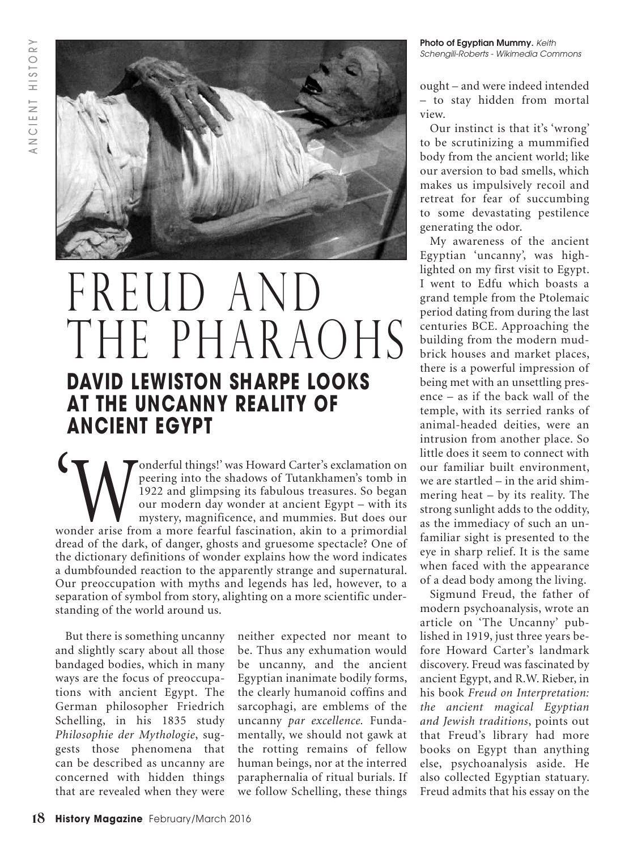

# FREUD AND THE PHARAOHS **DAVID LEWISTON SHARPE LOOKS AT THE UNCANNY REALITY OF ANCIENT EGYPT**

**Example 1998 Manuary 1999** (Magnetia) peering into the shadows of Tutankhamen's tomb in 1922 and glimpsing its fabulous treasures. So began our modern day wonder at ancient Egypt – with its mystery, magnificence, and mumm peering into the shadows of Tutankhamen's tomb in 1922 and glimpsing its fabulous treasures. So began our modern day wonder at ancient Egypt – with its mystery, magnificence, and mummies. But does our dread of the dark, of danger, ghosts and gruesome spectacle? One of the dictionary definitions of wonder explains how the word indicates a dumbfounded reaction to the apparently strange and supernatural. Our preoccupation with myths and legends has led, however, to a separation of symbol from story, alighting on a more scientific understanding of the world around us.

But there is something uncanny and slightly scary about all those bandaged bodies, which in many ways are the focus of preoccupations with ancient Egypt. The German philosopher Friedrich Schelling, in his 1835 study *Philosophie der Mythologie*, suggests those phenomena that can be described as uncanny are concerned with hidden things that are revealed when they were

neither expected nor meant to be. Thus any exhumation would be uncanny, and the ancient Egyptian inanimate bodily forms, the clearly humanoid coffins and sarcophagi, are emblems of the uncanny *par excellence.* Fundamentally, we should not gawk at the rotting remains of fellow human beings, nor at the interred paraphernalia of ritual burials. If we follow Schelling, these things **Photo of Egyptian Mummy.** *Keith Schengili-Roberts - Wikimedia Commons*

ought – and were indeed intended – to stay hidden from mortal view.

Our instinct is that it's 'wrong' to be scrutinizing a mummified body from the ancient world; like our aversion to bad smells, which makes us impulsively recoil and retreat for fear of succumbing to some devastating pestilence generating the odor.

My awareness of the ancient Egyptian 'uncanny', was highlighted on my first visit to Egypt. I went to Edfu which boasts a grand temple from the Ptolemaic period dating from during the last centuries BCE. Approaching the building from the modern mudbrick houses and market places, there is a powerful impression of being met with an unsettling presence – as if the back wall of the temple, with its serried ranks of animal-headed deities, were an intrusion from another place. So little does it seem to connect with our familiar built environment, we are startled – in the arid shimmering heat – by its reality. The strong sunlight adds to the oddity, as the immediacy of such an unfamiliar sight is presented to the eye in sharp relief. It is the same when faced with the appearance of a dead body among the living.

Sigmund Freud, the father of modern psychoanalysis, wrote an article on 'The Uncanny' published in 1919, just three years before Howard Carter's landmark discovery. Freud was fascinated by ancient Egypt, and R.W. Rieber, in his book *Freud on Interpretation: the ancient magical Egyptian and Jewish traditions*, points out that Freud's library had more books on Egypt than anything else, psychoanalysis aside. He also collected Egyptian statuary. Freud admits that his essay on the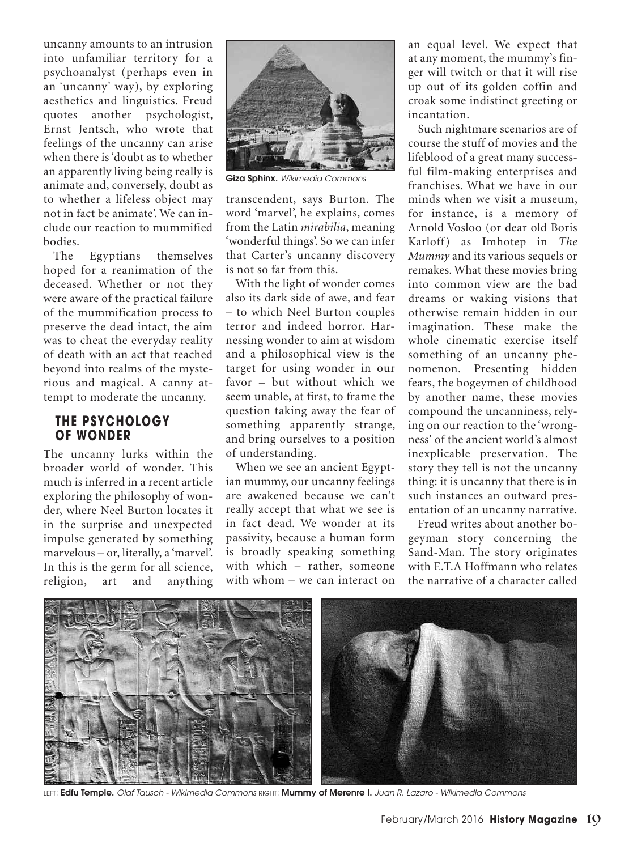uncanny amounts to an intrusion into unfamiliar territory for a psychoanalyst (perhaps even in an 'uncanny' way), by exploring aesthetics and linguistics. Freud quotes another psychologist, Ernst Jentsch, who wrote that feelings of the uncanny can arise when there is'doubt as to whether an apparently living being really is animate and, conversely, doubt as to whether a lifeless object may not in fact be animate'. We can include our reaction to mummified bodies.

The Egyptians themselves hoped for a reanimation of the deceased. Whether or not they were aware of the practical failure of the mummification process to preserve the dead intact, the aim was to cheat the everyday reality of death with an act that reached beyond into realms of the mysterious and magical. A canny attempt to moderate the uncanny.

#### **THE PSYCHOLOGY OF WONDER**

The uncanny lurks within the broader world of wonder. This much is inferred in a recent article exploring the philosophy of wonder, where Neel Burton locates it in the surprise and unexpected impulse generated by something marvelous – or, literally, a 'marvel'. In this is the germ for all science, religion, art and anything



**Giza Sphinx.** *Wikimedia Commons*

transcendent, says Burton. The word 'marvel', he explains, comes from the Latin *mirabilia*, meaning 'wonderful things'. So we can infer that Carter's uncanny discovery is not so far from this.

With the light of wonder comes also its dark side of awe, and fear – to which Neel Burton couples terror and indeed horror. Harnessing wonder to aim at wisdom and a philosophical view is the target for using wonder in our favor – but without which we seem unable, at first, to frame the question taking away the fear of something apparently strange, and bring ourselves to a position of understanding.

When we see an ancient Egyptian mummy, our uncanny feelings are awakened because we can't really accept that what we see is in fact dead. We wonder at its passivity, because a human form is broadly speaking something with which – rather, someone with whom – we can interact on an equal level. We expect that at any moment, the mummy's finger will twitch or that it will rise up out of its golden coffin and croak some indistinct greeting or incantation.

Such nightmare scenarios are of course the stuff of movies and the lifeblood of a great many successful film-making enterprises and franchises. What we have in our minds when we visit a museum, for instance, is a memory of Arnold Vosloo (or dear old Boris Karloff) as Imhotep in *The Mummy* and its various sequels or remakes. What these movies bring into common view are the bad dreams or waking visions that otherwise remain hidden in our imagination. These make the whole cinematic exercise itself something of an uncanny phenomenon. Presenting hidden fears, the bogeymen of childhood by another name, these movies compound the uncanniness, relying on our reaction to the 'wrongness' of the ancient world's almost inexplicable preservation. The story they tell is not the uncanny thing: it is uncanny that there is in such instances an outward presentation of an uncanny narrative.

Freud writes about another bogeyman story concerning the Sand-Man. The story originates with E.T.A Hoffmann who relates the narrative of a character called



LEFT: Edfu Temple. Olaf Tausch - Wikimedia Commons RIGHT: Mummy of Merenre I. Juan R. Lazaro - Wikimedia Commons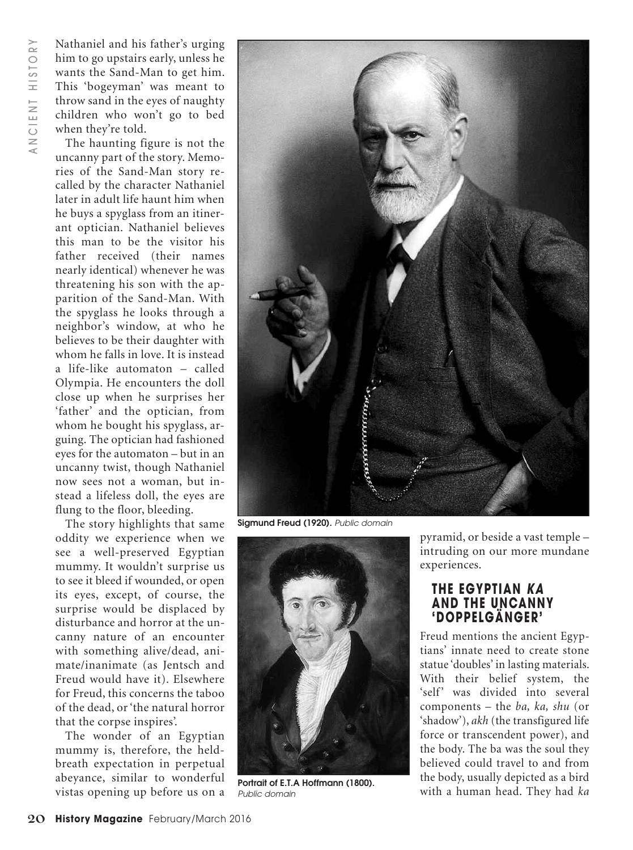Nathaniel and his father's urging him to go upstairs early, unless he wants the Sand-Man to get him. This 'bogeyman' was meant to throw sand in the eyes of naughty children who won't go to bed when they're told.

The haunting figure is not the uncanny part of the story. Memories of the Sand-Man story recalled by the character Nathaniel later in adult life haunt him when he buys a spyglass from an itinerant optician. Nathaniel believes this man to be the visitor his father received (their names nearly identical) whenever he was threatening his son with the apparition of the Sand-Man. With the spyglass he looks through a neighbor's window, at who he believes to be their daughter with whom he falls in love. It is instead a life-like automaton – called Olympia. He encounters the doll close up when he surprises her 'father' and the optician, from whom he bought his spyglass, arguing. The optician had fashioned eyes for the automaton – but in an uncanny twist, though Nathaniel now sees not a woman, but instead a lifeless doll, the eyes are flung to the floor, bleeding.

The story highlights that same oddity we experience when we see a well-preserved Egyptian mummy. It wouldn't surprise us to see it bleed if wounded, or open its eyes, except, of course, the surprise would be displaced by disturbance and horror at the uncanny nature of an encounter with something alive/dead, animate/inanimate (as Jentsch and Freud would have it). Elsewhere for Freud, this concerns the taboo of the dead, or'the natural horror that the corpse inspires'.

The wonder of an Egyptian mummy is, therefore, the heldbreath expectation in perpetual abeyance, similar to wonderful vistas opening up before us on a



**Sigmund Freud (1920).** *Public domain*



**Portrait of E.T.A Hoffmann (1800).** *Public domain*

pyramid, or beside a vast temple – intruding on our more mundane experiences.

#### **THE EGYPTIAN** *KA* **AND THE UNCANNY 'DOPPELGÄNGER'**

Freud mentions the ancient Egyptians' innate need to create stone statue 'doubles' in lasting materials. With their belief system, the 'self' was divided into several components – the *ba, ka, shu* (or 'shadow'), *akh* (the transfigured life force or transcendent power), and the body. The ba was the soul they believed could travel to and from the body, usually depicted as a bird with a human head. They had *ka*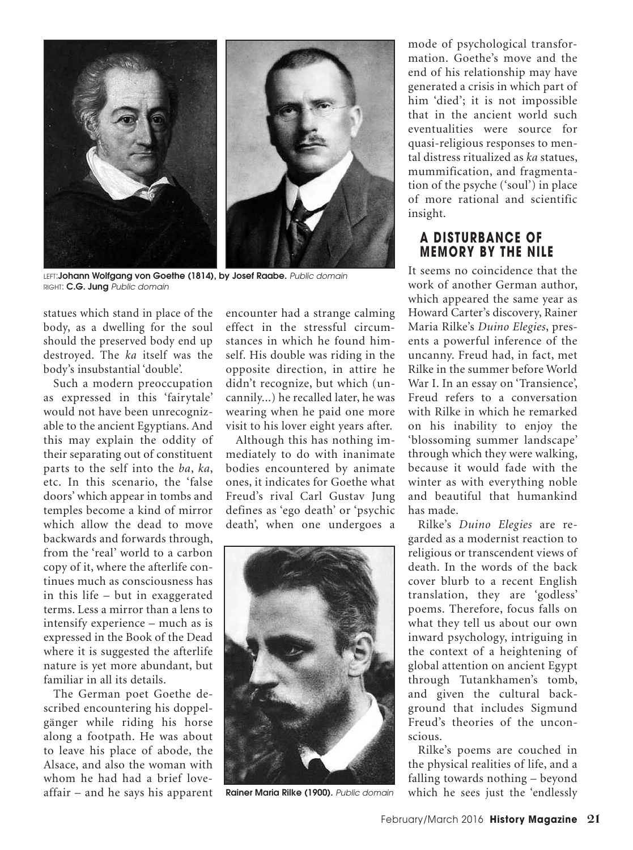

LEFT:**Johann Wolfgang von Goethe (1814), by Josef Raabe.** *Public domain* RIGHT: **C.G. Jung** *Public domain*

statues which stand in place of the body, as a dwelling for the soul should the preserved body end up destroyed. The *ka* itself was the body's insubstantial 'double'.

Such a modern preoccupation as expressed in this 'fairytale' would not have been unrecognizable to the ancient Egyptians. And this may explain the oddity of their separating out of constituent parts to the self into the *ba*, *ka*, etc. In this scenario, the 'false doors' which appear in tombs and temples become a kind of mirror which allow the dead to move backwards and forwards through, from the 'real' world to a carbon copy of it, where the afterlife continues much as consciousness has in this life – but in exaggerated terms. Less a mirror than a lens to intensify experience – much as is expressed in the Book of the Dead where it is suggested the afterlife nature is yet more abundant, but familiar in all its details.

The German poet Goethe described encountering his doppelgänger while riding his horse along a footpath. He was about to leave his place of abode, the Alsace, and also the woman with whom he had had a brief loveaffair – and he says his apparent encounter had a strange calming effect in the stressful circumstances in which he found himself. His double was riding in the opposite direction, in attire he didn't recognize, but which (uncannily...) he recalled later, he was wearing when he paid one more visit to his lover eight years after.

Although this has nothing immediately to do with inanimate bodies encountered by animate ones, it indicates for Goethe what Freud's rival Carl Gustav Jung defines as 'ego death' or 'psychic death', when one undergoes a



**Rainer Maria Rilke (1900).** *Public domain*

mode of psychological transformation. Goethe's move and the end of his relationship may have generated a crisis in which part of him 'died'; it is not impossible that in the ancient world such eventualities were source for quasi-religious responses to mental distress ritualized as *ka* statues, mummification, and fragmentation of the psyche ('soul') in place of more rational and scientific insight.

### **A DISTURBANCE OF MEMORY BY THE NILE**

It seems no coincidence that the work of another German author, which appeared the same year as Howard Carter's discovery, Rainer Maria Rilke's *Duino Elegies*, presents a powerful inference of the uncanny. Freud had, in fact, met Rilke in the summer before World War I. In an essay on 'Transience', Freud refers to a conversation with Rilke in which he remarked on his inability to enjoy the 'blossoming summer landscape' through which they were walking, because it would fade with the winter as with everything noble and beautiful that humankind has made.

Rilke's *Duino Elegies* are regarded as a modernist reaction to religious or transcendent views of death. In the words of the back cover blurb to a recent English translation, they are 'godless' poems. Therefore, focus falls on what they tell us about our own inward psychology, intriguing in the context of a heightening of global attention on ancient Egypt through Tutankhamen's tomb, and given the cultural background that includes Sigmund Freud's theories of the unconscious.

Rilke's poems are couched in the physical realities of life, and a falling towards nothing – beyond which he sees just the 'endlessly